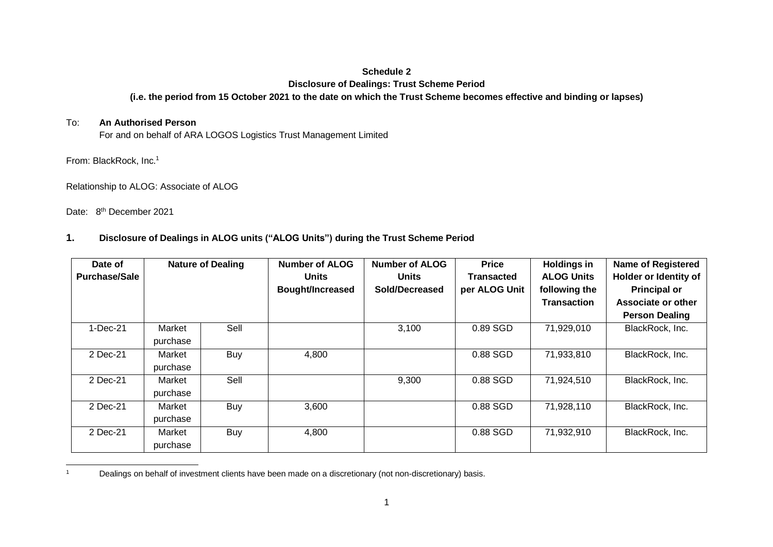## **Schedule 2**

#### **Disclosure of Dealings: Trust Scheme Period**

### **(i.e. the period from 15 October 2021 to the date on which the Trust Scheme becomes effective and binding or lapses)**

#### To: **An Authorised Person**

For and on behalf of ARA LOGOS Logistics Trust Management Limited

From: BlackRock, Inc.<sup>1</sup>

Relationship to ALOG: Associate of ALOG

Date: 8<sup>th</sup> December 2021

## **1. Disclosure of Dealings in ALOG units ("ALOG Units") during the Trust Scheme Period**

| Date of<br><b>Purchase/Sale</b> | <b>Nature of Dealing</b> |      | <b>Number of ALOG</b><br><b>Units</b><br><b>Bought/Increased</b> | <b>Number of ALOG</b><br><b>Units</b><br>Sold/Decreased | <b>Price</b><br><b>Transacted</b><br>per ALOG Unit | <b>Holdings in</b><br><b>ALOG Units</b><br>following the<br><b>Transaction</b> | <b>Name of Registered</b><br>Holder or Identity of<br><b>Principal or</b><br>Associate or other<br><b>Person Dealing</b> |
|---------------------------------|--------------------------|------|------------------------------------------------------------------|---------------------------------------------------------|----------------------------------------------------|--------------------------------------------------------------------------------|--------------------------------------------------------------------------------------------------------------------------|
| $1-Dec-21$                      | Market<br>purchase       | Sell |                                                                  | 3,100                                                   | 0.89 SGD                                           | 71,929,010                                                                     | BlackRock, Inc.                                                                                                          |
| 2 Dec-21                        | Market<br>purchase       | Buy  | 4,800                                                            |                                                         | 0.88 SGD                                           | 71,933,810                                                                     | BlackRock, Inc.                                                                                                          |
| 2 Dec-21                        | Market<br>purchase       | Sell |                                                                  | 9,300                                                   | 0.88 SGD                                           | 71,924,510                                                                     | BlackRock, Inc.                                                                                                          |
| 2 Dec-21                        | Market<br>purchase       | Buy  | 3,600                                                            |                                                         | 0.88 SGD                                           | 71,928,110                                                                     | BlackRock, Inc.                                                                                                          |
| 2 Dec-21                        | Market<br>purchase       | Buy  | 4,800                                                            |                                                         | 0.88 SGD                                           | 71,932,910                                                                     | BlackRock, Inc.                                                                                                          |

<sup>1</sup> Dealings on behalf of investment clients have been made on a discretionary (not non-discretionary) basis.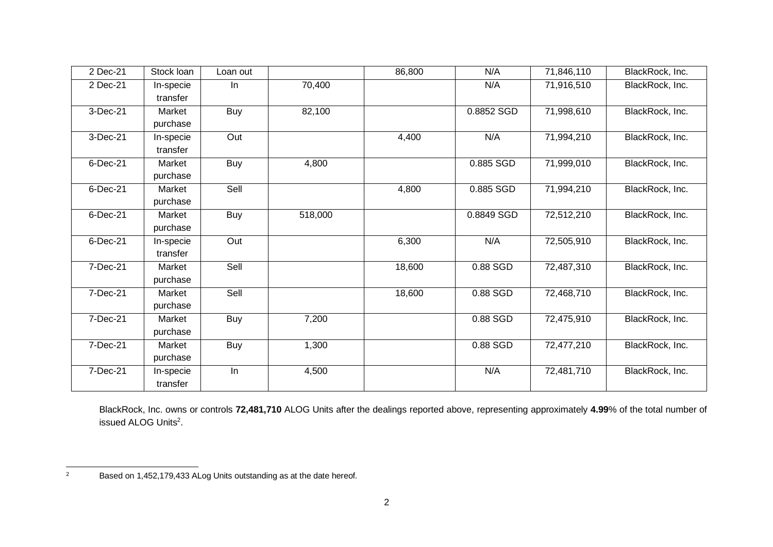| 2 Dec-21     | Stock loan | Loan out   |         | 86,800 | N/A        | 71,846,110 | BlackRock, Inc. |
|--------------|------------|------------|---------|--------|------------|------------|-----------------|
| 2 Dec-21     | In-specie  | In         | 70,400  |        | N/A        | 71,916,510 | BlackRock, Inc. |
|              | transfer   |            |         |        |            |            |                 |
| 3-Dec-21     | Market     | <b>Buy</b> | 82,100  |        | 0.8852 SGD | 71,998,610 | BlackRock, Inc. |
|              | purchase   |            |         |        |            |            |                 |
| 3-Dec-21     | In-specie  | Out        |         | 4,400  | N/A        | 71,994,210 | BlackRock, Inc. |
|              | transfer   |            |         |        |            |            |                 |
| 6-Dec-21     | Market     | <b>Buy</b> | 4,800   |        | 0.885 SGD  | 71,999,010 | BlackRock, Inc. |
|              | purchase   |            |         |        |            |            |                 |
| 6-Dec-21     | Market     | Sell       |         | 4,800  | 0.885 SGD  | 71,994,210 | BlackRock, Inc. |
|              | purchase   |            |         |        |            |            |                 |
| 6-Dec-21     | Market     | <b>Buy</b> | 518,000 |        | 0.8849 SGD | 72,512,210 | BlackRock, Inc. |
|              | purchase   |            |         |        |            |            |                 |
| 6-Dec-21     | In-specie  | Out        |         | 6,300  | N/A        | 72,505,910 | BlackRock, Inc. |
|              | transfer   |            |         |        |            |            |                 |
| 7-Dec-21     | Market     | Sell       |         | 18,600 | 0.88 SGD   | 72,487,310 | BlackRock, Inc. |
|              | purchase   |            |         |        |            |            |                 |
| 7-Dec-21     | Market     | Sell       |         | 18,600 | 0.88 SGD   | 72,468,710 | BlackRock, Inc. |
|              | purchase   |            |         |        |            |            |                 |
| $7 - Dec-21$ | Market     | Buy        | 7,200   |        | 0.88 SGD   | 72,475,910 | BlackRock, Inc. |
|              | purchase   |            |         |        |            |            |                 |
| 7-Dec-21     | Market     | <b>Buy</b> | 1,300   |        | 0.88 SGD   | 72,477,210 | BlackRock, Inc. |
|              | purchase   |            |         |        |            |            |                 |
| 7-Dec-21     | In-specie  | In         | 4,500   |        | N/A        | 72,481,710 | BlackRock, Inc. |
|              | transfer   |            |         |        |            |            |                 |

BlackRock, Inc. owns or controls **72,481,710** ALOG Units after the dealings reported above, representing approximately **4.99**% of the total number of issued ALOG Units<sup>2</sup>.

<sup>&</sup>lt;sup>2</sup> Based on 1,452,179,433 ALog Units outstanding as at the date hereof.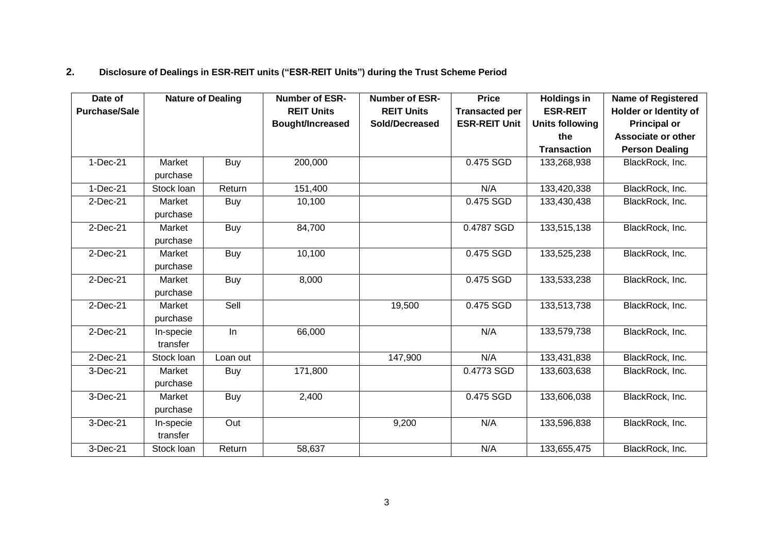# **2. Disclosure of Dealings in ESR-REIT units ("ESR-REIT Units") during the Trust Scheme Period**

| Date of              | <b>Nature of Dealing</b> |            | <b>Number of ESR-</b> | <b>Number of ESR-</b> | <b>Price</b>          | <b>Holdings in</b>     | <b>Name of Registered</b> |
|----------------------|--------------------------|------------|-----------------------|-----------------------|-----------------------|------------------------|---------------------------|
| <b>Purchase/Sale</b> |                          |            | <b>REIT Units</b>     | <b>REIT Units</b>     | <b>Transacted per</b> | <b>ESR-REIT</b>        | Holder or Identity of     |
|                      |                          |            | Bought/Increased      | Sold/Decreased        | <b>ESR-REIT Unit</b>  | <b>Units following</b> | <b>Principal or</b>       |
|                      |                          |            |                       |                       |                       | the                    | <b>Associate or other</b> |
|                      |                          |            |                       |                       |                       | <b>Transaction</b>     | <b>Person Dealing</b>     |
| $1-Dec-21$           | Market                   | Buy        | 200,000               |                       | 0.475 SGD             | 133,268,938            | BlackRock, Inc.           |
|                      | purchase                 |            |                       |                       |                       |                        |                           |
| 1-Dec-21             | Stock loan               | Return     | 151,400               |                       | N/A                   | 133,420,338            | BlackRock, Inc.           |
| 2-Dec-21             | Market                   | Buy        | 10,100                |                       | 0.475 SGD             | 133,430,438            | BlackRock, Inc.           |
|                      | purchase                 |            |                       |                       |                       |                        |                           |
| $2$ -Dec-21          | Market                   | Buy        | 84,700                |                       | 0.4787 SGD            | 133,515,138            | BlackRock, Inc.           |
|                      | purchase                 |            |                       |                       |                       |                        |                           |
| $2$ -Dec-21          | Market                   | Buy        | 10,100                |                       | 0.475 SGD             | 133,525,238            | BlackRock, Inc.           |
|                      | purchase                 |            |                       |                       |                       |                        |                           |
| 2-Dec-21             | Market                   | <b>Buy</b> | 8,000                 |                       | 0.475 SGD             | 133,533,238            | BlackRock, Inc.           |
|                      | purchase                 |            |                       |                       |                       |                        |                           |
| $2$ -Dec-21          | Market                   | Sell       |                       | 19,500                | 0.475 SGD             | 133,513,738            | BlackRock, Inc.           |
|                      | purchase                 |            |                       |                       |                       |                        |                           |
| $2$ -Dec-21          | In-specie                | In         | 66,000                |                       | N/A                   | 133,579,738            | BlackRock, Inc.           |
|                      | transfer                 |            |                       |                       |                       |                        |                           |
| $2$ -Dec-21          | Stock loan               | Loan out   |                       | 147,900               | N/A                   | 133,431,838            | BlackRock, Inc.           |
| 3-Dec-21             | Market                   | Buy        | 171,800               |                       | 0.4773 SGD            | 133,603,638            | BlackRock, Inc.           |
|                      | purchase                 |            |                       |                       |                       |                        |                           |
| $3-Dec-21$           | Market                   | <b>Buy</b> | 2,400                 |                       | 0.475 SGD             | 133,606,038            | BlackRock, Inc.           |
|                      | purchase                 |            |                       |                       |                       |                        |                           |
| 3-Dec-21             | In-specie                | Out        |                       | 9,200                 | N/A                   | 133,596,838            | BlackRock, Inc.           |
|                      | transfer                 |            |                       |                       |                       |                        |                           |
| 3-Dec-21             | Stock loan               | Return     | 58,637                |                       | N/A                   | 133,655,475            | BlackRock, Inc.           |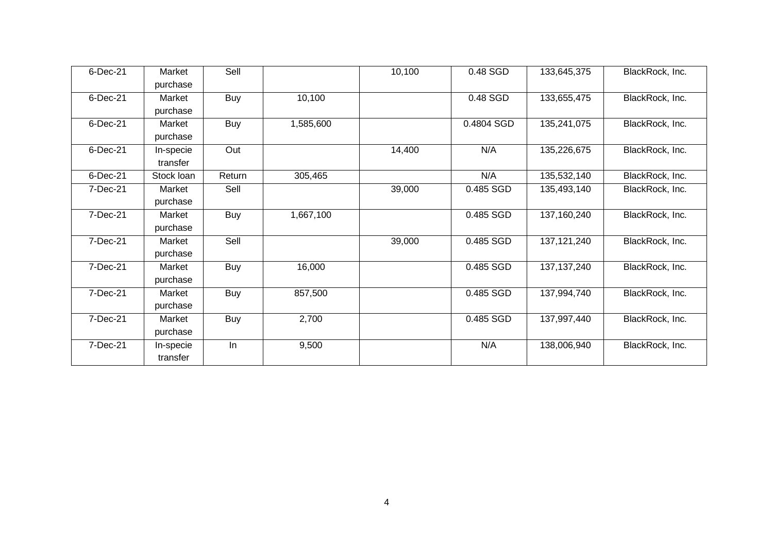| 6-Dec-21 | Market     | Sell       |           | 10,100 | 0.48 SGD   | 133,645,375   | BlackRock, Inc. |
|----------|------------|------------|-----------|--------|------------|---------------|-----------------|
|          | purchase   |            |           |        |            |               |                 |
| 6-Dec-21 | Market     | Buy        | 10,100    |        | 0.48 SGD   | 133,655,475   | BlackRock, Inc. |
|          | purchase   |            |           |        |            |               |                 |
| 6-Dec-21 | Market     | <b>Buy</b> | 1,585,600 |        | 0.4804 SGD | 135,241,075   | BlackRock, Inc. |
|          | purchase   |            |           |        |            |               |                 |
| 6-Dec-21 | In-specie  | Out        |           | 14,400 | N/A        | 135,226,675   | BlackRock, Inc. |
|          | transfer   |            |           |        |            |               |                 |
| 6-Dec-21 | Stock loan | Return     | 305,465   |        | N/A        | 135,532,140   | BlackRock, Inc. |
| 7-Dec-21 | Market     | Sell       |           | 39,000 | 0.485 SGD  | 135,493,140   | BlackRock, Inc. |
|          | purchase   |            |           |        |            |               |                 |
| 7-Dec-21 | Market     | Buy        | 1,667,100 |        | 0.485 SGD  | 137,160,240   | BlackRock, Inc. |
|          | purchase   |            |           |        |            |               |                 |
| 7-Dec-21 | Market     | Sell       |           | 39,000 | 0.485 SGD  | 137, 121, 240 | BlackRock, Inc. |
|          | purchase   |            |           |        |            |               |                 |
| 7-Dec-21 | Market     | Buy        | 16,000    |        | 0.485 SGD  | 137, 137, 240 | BlackRock, Inc. |
|          | purchase   |            |           |        |            |               |                 |
| 7-Dec-21 | Market     | Buy        | 857,500   |        | 0.485 SGD  | 137,994,740   | BlackRock, Inc. |
|          | purchase   |            |           |        |            |               |                 |
| 7-Dec-21 | Market     | Buy        | 2,700     |        | 0.485 SGD  | 137,997,440   | BlackRock, Inc. |
|          | purchase   |            |           |        |            |               |                 |
| 7-Dec-21 | In-specie  | In         | 9,500     |        | N/A        | 138,006,940   | BlackRock, Inc. |
|          | transfer   |            |           |        |            |               |                 |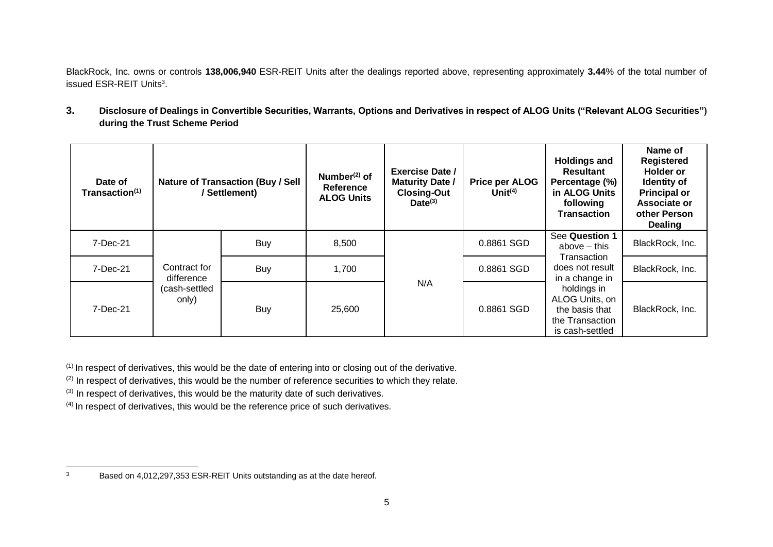BlackRock, Inc. owns or controls **138,006,940** ESR-REIT Units after the dealings reported above, representing approximately **3.44**% of the total number of issued ESR-REIT Units<sup>3</sup>.

**3. Disclosure of Dealings in Convertible Securities, Warrants, Options and Derivatives in respect of ALOG Units ("Relevant ALOG Securities") during the Trust Scheme Period**

| Date of<br>Transaction <sup>(1)</sup> |                                                      | <b>Nature of Transaction (Buy / Sell</b><br>/ Settlement) | Number $(2)$ of<br>Reference<br><b>ALOG Units</b> | Exercise Date /<br><b>Maturity Date /</b><br><b>Closing-Out</b><br>$Date^{(3)}$ | <b>Price per ALOG</b><br>Unit $(4)$ | <b>Holdings and</b><br><b>Resultant</b><br>Percentage (%)<br>in ALOG Units<br>following<br><b>Transaction</b>                                                               | Name of<br><b>Registered</b><br><b>Holder or</b><br><b>Identity of</b><br><b>Principal or</b><br>Associate or<br>other Person<br><b>Dealing</b> |
|---------------------------------------|------------------------------------------------------|-----------------------------------------------------------|---------------------------------------------------|---------------------------------------------------------------------------------|-------------------------------------|-----------------------------------------------------------------------------------------------------------------------------------------------------------------------------|-------------------------------------------------------------------------------------------------------------------------------------------------|
| 7-Dec-21                              | Contract for<br>difference<br>(cash-settled<br>only) | <b>Buy</b>                                                | 8,500                                             |                                                                                 | 0.8861 SGD                          | See Question 1<br>above – this<br>Transaction<br>does not result<br>in a change in<br>holdings in<br>ALOG Units, on<br>the basis that<br>the Transaction<br>is cash-settled | BlackRock, Inc.                                                                                                                                 |
| 7-Dec-21                              |                                                      | <b>Buy</b>                                                | 1,700                                             |                                                                                 | 0.8861 SGD                          |                                                                                                                                                                             | BlackRock, Inc.                                                                                                                                 |
| 7-Dec-21                              |                                                      | <b>Buy</b>                                                | 25,600                                            | N/A                                                                             | 0.8861 SGD                          |                                                                                                                                                                             | BlackRock, Inc.                                                                                                                                 |

(1) In respect of derivatives, this would be the date of entering into or closing out of the derivative.

 $(2)$  In respect of derivatives, this would be the number of reference securities to which they relate.

 $(3)$  In respect of derivatives, this would be the maturity date of such derivatives.

 $(4)$  In respect of derivatives, this would be the reference price of such derivatives.

<sup>&</sup>lt;sup>3</sup> Based on 4,012,297,353 ESR-REIT Units outstanding as at the date hereof.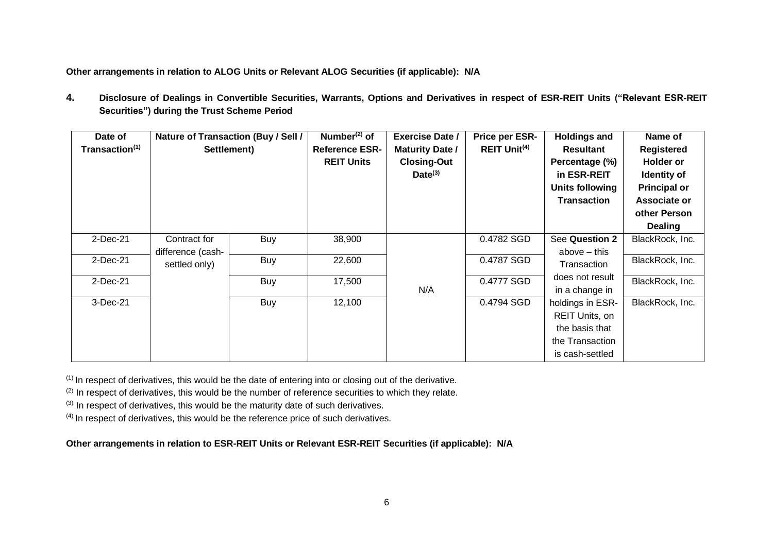**Other arrangements in relation to ALOG Units or Relevant ALOG Securities (if applicable): N/A** 

**4. Disclosure of Dealings in Convertible Securities, Warrants, Options and Derivatives in respect of ESR-REIT Units ("Relevant ESR-REIT Securities") during the Trust Scheme Period**

| Date of                    |                   | Nature of Transaction (Buy / Sell / | Number $(2)$ of       | <b>Exercise Date /</b> | Price per ESR-      | <b>Holdings and</b> | Name of             |
|----------------------------|-------------------|-------------------------------------|-----------------------|------------------------|---------------------|---------------------|---------------------|
| Transaction <sup>(1)</sup> |                   | Settlement)                         | <b>Reference ESR-</b> | <b>Maturity Date /</b> | <b>REIT Unit(4)</b> | <b>Resultant</b>    | Registered          |
|                            |                   |                                     | <b>REIT Units</b>     | <b>Closing-Out</b>     |                     | Percentage (%)      | <b>Holder or</b>    |
|                            |                   |                                     |                       | $Date^{(3)}$           |                     | in ESR-REIT         | Identity of         |
|                            |                   |                                     |                       |                        |                     | Units following     | <b>Principal or</b> |
|                            |                   |                                     |                       |                        |                     | <b>Transaction</b>  | Associate or        |
|                            |                   |                                     |                       |                        |                     |                     | other Person        |
|                            |                   |                                     |                       |                        |                     |                     | <b>Dealing</b>      |
| 2-Dec-21                   | Contract for      | Buy                                 | 38,900                |                        | 0.4782 SGD          | See Question 2      | BlackRock, Inc.     |
|                            | difference (cash- |                                     |                       |                        |                     | above $-$ this      |                     |
| $2$ -Dec-21                | settled only)     | Buy                                 | 22,600                |                        | 0.4787 SGD          | Transaction         | BlackRock, Inc.     |
| 2-Dec-21                   |                   | Buy                                 | 17,500                |                        | 0.4777 SGD          | does not result     | BlackRock, Inc.     |
|                            |                   |                                     |                       | N/A                    |                     | in a change in      |                     |
| 3-Dec-21                   |                   | <b>Buy</b>                          | 12,100                |                        | 0.4794 SGD          | holdings in ESR-    | BlackRock, Inc.     |
|                            |                   |                                     |                       |                        |                     | REIT Units, on      |                     |
|                            |                   |                                     |                       |                        |                     | the basis that      |                     |
|                            |                   |                                     |                       |                        |                     | the Transaction     |                     |
|                            |                   |                                     |                       |                        |                     | is cash-settled     |                     |

 $(1)$  In respect of derivatives, this would be the date of entering into or closing out of the derivative.

 $(2)$  In respect of derivatives, this would be the number of reference securities to which they relate.

(3) In respect of derivatives, this would be the maturity date of such derivatives.

(4) In respect of derivatives, this would be the reference price of such derivatives.

#### **Other arrangements in relation to ESR-REIT Units or Relevant ESR-REIT Securities (if applicable): N/A**